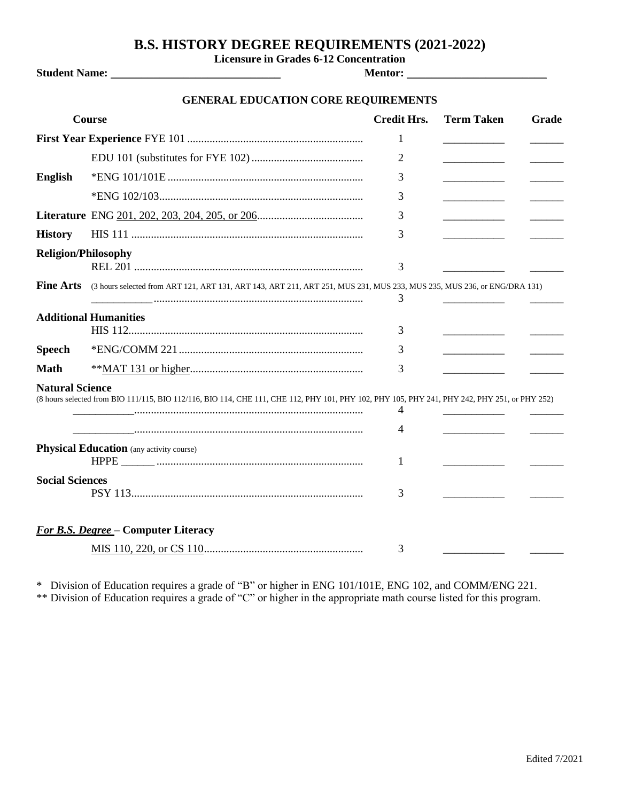## **B.S. HISTORY DEGREE REQUIREMENTS (2021-2022)**

**Licensure in Grades 6-12 Concentration**

**Student Name:** \_\_\_\_\_\_\_\_\_\_\_\_\_\_\_\_\_\_\_\_\_\_\_\_\_\_\_\_ **Mentor:** \_\_\_\_\_\_\_\_\_\_\_\_\_\_\_\_\_\_\_\_\_\_\_

## **GENERAL EDUCATION CORE REQUIREMENTS**

|                            | Course                                                                                                                                        | <b>Credit Hrs.</b> | <b>Term Taken</b> | Grade |
|----------------------------|-----------------------------------------------------------------------------------------------------------------------------------------------|--------------------|-------------------|-------|
|                            |                                                                                                                                               | 1                  |                   |       |
|                            |                                                                                                                                               | 2                  |                   |       |
| <b>English</b>             |                                                                                                                                               | 3                  |                   |       |
|                            |                                                                                                                                               | 3                  |                   |       |
|                            |                                                                                                                                               | 3                  |                   |       |
| <b>History</b>             |                                                                                                                                               | 3                  |                   |       |
| <b>Religion/Philosophy</b> |                                                                                                                                               | 3                  |                   |       |
| <b>Fine Arts</b>           | (3 hours selected from ART 121, ART 131, ART 143, ART 211, ART 251, MUS 231, MUS 233, MUS 235, MUS 236, or ENG/DRA 131)                       | 3                  |                   |       |
|                            | <b>Additional Humanities</b>                                                                                                                  | 3                  |                   |       |
| <b>Speech</b>              |                                                                                                                                               | 3                  |                   |       |
| <b>Math</b>                |                                                                                                                                               | 3                  |                   |       |
| <b>Natural Science</b>     | (8 hours selected from BIO 111/115, BIO 112/116, BIO 114, CHE 111, CHE 112, PHY 101, PHY 102, PHY 105, PHY 241, PHY 242, PHY 251, or PHY 252) | 4<br>4             |                   |       |
|                            | <b>Physical Education</b> (any activity course)                                                                                               |                    |                   |       |
|                            |                                                                                                                                               | 1                  |                   |       |
| <b>Social Sciences</b>     |                                                                                                                                               | 3                  |                   |       |
|                            | <b>For B.S. Degree - Computer Literacy</b>                                                                                                    |                    |                   |       |
|                            |                                                                                                                                               | 3                  |                   |       |

\* Division of Education requires a grade of "B" or higher in ENG 101/101E, ENG 102, and COMM/ENG 221. \*\* Division of Education requires a grade of "C" or higher in the appropriate math course listed for this program.